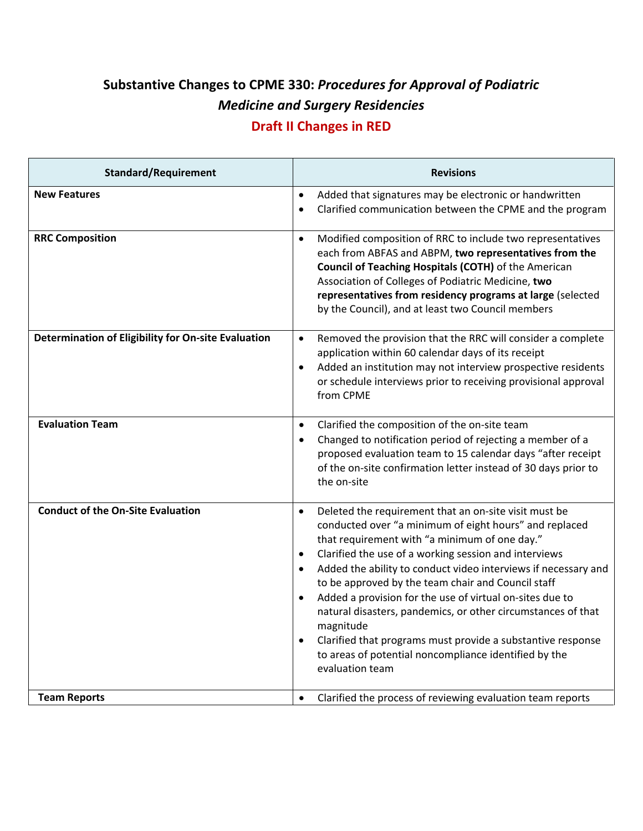## **Substantive Changes to CPME 330:** *Procedures for Approval of Podiatric Medicine and Surgery Residencies* **Draft II Changes in RED**

| <b>Standard/Requirement</b>                         | <b>Revisions</b>                                                                                                                                                                                                                                                                                                                                                                                                                                                                                                                                                                                                                                                |
|-----------------------------------------------------|-----------------------------------------------------------------------------------------------------------------------------------------------------------------------------------------------------------------------------------------------------------------------------------------------------------------------------------------------------------------------------------------------------------------------------------------------------------------------------------------------------------------------------------------------------------------------------------------------------------------------------------------------------------------|
| <b>New Features</b>                                 | Added that signatures may be electronic or handwritten<br>$\bullet$<br>Clarified communication between the CPME and the program<br>$\bullet$                                                                                                                                                                                                                                                                                                                                                                                                                                                                                                                    |
| <b>RRC Composition</b>                              | Modified composition of RRC to include two representatives<br>$\bullet$<br>each from ABFAS and ABPM, two representatives from the<br>Council of Teaching Hospitals (COTH) of the American<br>Association of Colleges of Podiatric Medicine, two<br>representatives from residency programs at large (selected<br>by the Council), and at least two Council members                                                                                                                                                                                                                                                                                              |
| Determination of Eligibility for On-site Evaluation | Removed the provision that the RRC will consider a complete<br>$\bullet$<br>application within 60 calendar days of its receipt<br>Added an institution may not interview prospective residents<br>$\bullet$<br>or schedule interviews prior to receiving provisional approval<br>from CPME                                                                                                                                                                                                                                                                                                                                                                      |
| <b>Evaluation Team</b>                              | Clarified the composition of the on-site team<br>$\bullet$<br>Changed to notification period of rejecting a member of a<br>$\bullet$<br>proposed evaluation team to 15 calendar days "after receipt<br>of the on-site confirmation letter instead of 30 days prior to<br>the on-site                                                                                                                                                                                                                                                                                                                                                                            |
| <b>Conduct of the On-Site Evaluation</b>            | Deleted the requirement that an on-site visit must be<br>$\bullet$<br>conducted over "a minimum of eight hours" and replaced<br>that requirement with "a minimum of one day."<br>Clarified the use of a working session and interviews<br>$\bullet$<br>Added the ability to conduct video interviews if necessary and<br>to be approved by the team chair and Council staff<br>Added a provision for the use of virtual on-sites due to<br>natural disasters, pandemics, or other circumstances of that<br>magnitude<br>Clarified that programs must provide a substantive response<br>to areas of potential noncompliance identified by the<br>evaluation team |
| <b>Team Reports</b>                                 | Clarified the process of reviewing evaluation team reports<br>$\bullet$                                                                                                                                                                                                                                                                                                                                                                                                                                                                                                                                                                                         |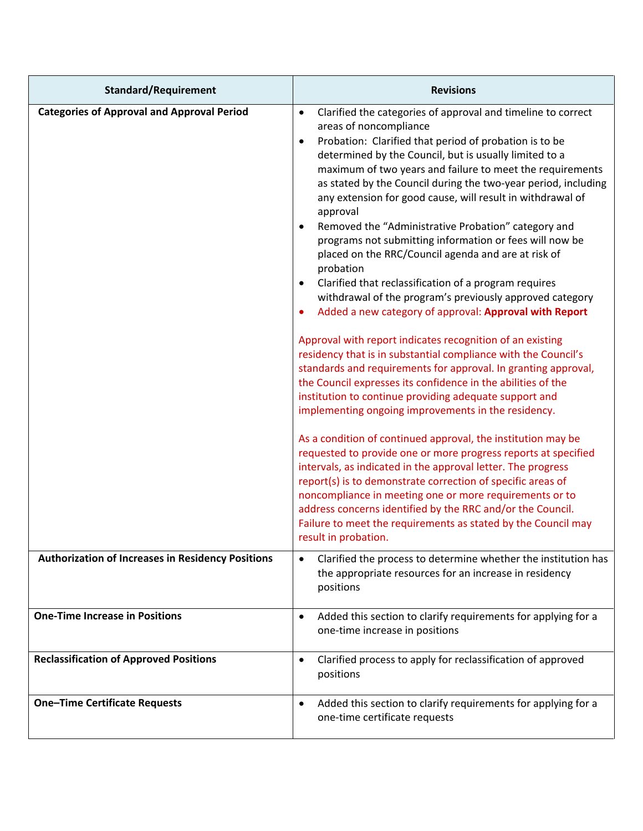| <b>Standard/Requirement</b>                              | <b>Revisions</b>                                                                                                                                                                                                                                                                                                                                                                                                                                                                                                                                                                                                                                                                                                                                                                                                                                                                                                                                                                                                                                                                                                                                                                                                                                                                                                                                                                                                                                                                                                                                                                                                                                                                                     |
|----------------------------------------------------------|------------------------------------------------------------------------------------------------------------------------------------------------------------------------------------------------------------------------------------------------------------------------------------------------------------------------------------------------------------------------------------------------------------------------------------------------------------------------------------------------------------------------------------------------------------------------------------------------------------------------------------------------------------------------------------------------------------------------------------------------------------------------------------------------------------------------------------------------------------------------------------------------------------------------------------------------------------------------------------------------------------------------------------------------------------------------------------------------------------------------------------------------------------------------------------------------------------------------------------------------------------------------------------------------------------------------------------------------------------------------------------------------------------------------------------------------------------------------------------------------------------------------------------------------------------------------------------------------------------------------------------------------------------------------------------------------------|
| <b>Categories of Approval and Approval Period</b>        | Clarified the categories of approval and timeline to correct<br>$\bullet$<br>areas of noncompliance<br>Probation: Clarified that period of probation is to be<br>$\bullet$<br>determined by the Council, but is usually limited to a<br>maximum of two years and failure to meet the requirements<br>as stated by the Council during the two-year period, including<br>any extension for good cause, will result in withdrawal of<br>approval<br>Removed the "Administrative Probation" category and<br>programs not submitting information or fees will now be<br>placed on the RRC/Council agenda and are at risk of<br>probation<br>Clarified that reclassification of a program requires<br>withdrawal of the program's previously approved category<br>Added a new category of approval: Approval with Report<br>$\bullet$<br>Approval with report indicates recognition of an existing<br>residency that is in substantial compliance with the Council's<br>standards and requirements for approval. In granting approval,<br>the Council expresses its confidence in the abilities of the<br>institution to continue providing adequate support and<br>implementing ongoing improvements in the residency.<br>As a condition of continued approval, the institution may be<br>requested to provide one or more progress reports at specified<br>intervals, as indicated in the approval letter. The progress<br>report(s) is to demonstrate correction of specific areas of<br>noncompliance in meeting one or more requirements or to<br>address concerns identified by the RRC and/or the Council.<br>Failure to meet the requirements as stated by the Council may<br>result in probation. |
| <b>Authorization of Increases in Residency Positions</b> | Clarified the process to determine whether the institution has<br>the appropriate resources for an increase in residency<br>positions                                                                                                                                                                                                                                                                                                                                                                                                                                                                                                                                                                                                                                                                                                                                                                                                                                                                                                                                                                                                                                                                                                                                                                                                                                                                                                                                                                                                                                                                                                                                                                |
| <b>One-Time Increase in Positions</b>                    | Added this section to clarify requirements for applying for a<br>$\bullet$<br>one-time increase in positions                                                                                                                                                                                                                                                                                                                                                                                                                                                                                                                                                                                                                                                                                                                                                                                                                                                                                                                                                                                                                                                                                                                                                                                                                                                                                                                                                                                                                                                                                                                                                                                         |
| <b>Reclassification of Approved Positions</b>            | Clarified process to apply for reclassification of approved<br>$\bullet$<br>positions                                                                                                                                                                                                                                                                                                                                                                                                                                                                                                                                                                                                                                                                                                                                                                                                                                                                                                                                                                                                                                                                                                                                                                                                                                                                                                                                                                                                                                                                                                                                                                                                                |
| <b>One-Time Certificate Requests</b>                     | Added this section to clarify requirements for applying for a<br>$\bullet$<br>one-time certificate requests                                                                                                                                                                                                                                                                                                                                                                                                                                                                                                                                                                                                                                                                                                                                                                                                                                                                                                                                                                                                                                                                                                                                                                                                                                                                                                                                                                                                                                                                                                                                                                                          |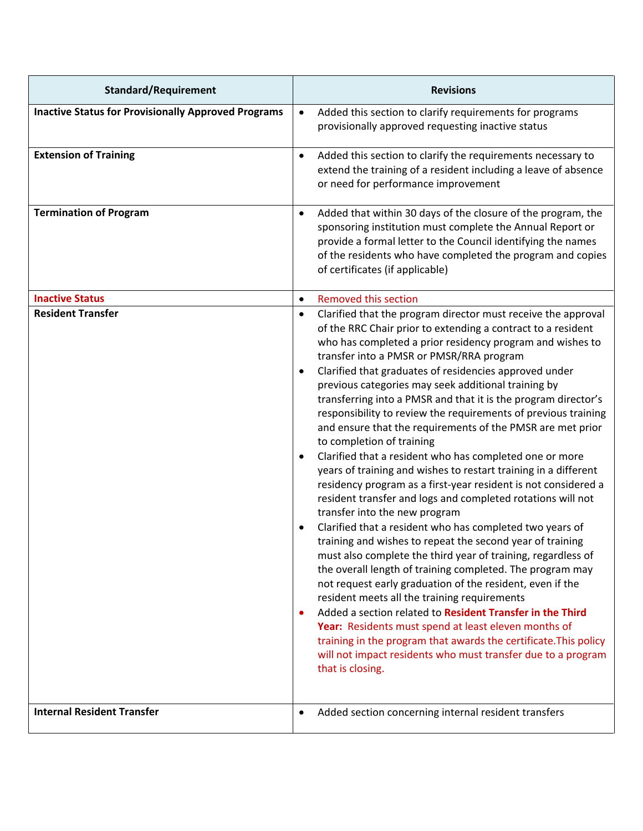| <b>Standard/Requirement</b>                                | <b>Revisions</b>                                                                                                                                                                                                                                                                                                                                                                                                                                                                                                                                                                                                                                                                                                                                                                                                                                                                                                                                                                                                                                                                                                                                                                                                                                                                                                                                                                                                                                                                                                                                                              |
|------------------------------------------------------------|-------------------------------------------------------------------------------------------------------------------------------------------------------------------------------------------------------------------------------------------------------------------------------------------------------------------------------------------------------------------------------------------------------------------------------------------------------------------------------------------------------------------------------------------------------------------------------------------------------------------------------------------------------------------------------------------------------------------------------------------------------------------------------------------------------------------------------------------------------------------------------------------------------------------------------------------------------------------------------------------------------------------------------------------------------------------------------------------------------------------------------------------------------------------------------------------------------------------------------------------------------------------------------------------------------------------------------------------------------------------------------------------------------------------------------------------------------------------------------------------------------------------------------------------------------------------------------|
| <b>Inactive Status for Provisionally Approved Programs</b> | Added this section to clarify requirements for programs<br>$\bullet$<br>provisionally approved requesting inactive status                                                                                                                                                                                                                                                                                                                                                                                                                                                                                                                                                                                                                                                                                                                                                                                                                                                                                                                                                                                                                                                                                                                                                                                                                                                                                                                                                                                                                                                     |
| <b>Extension of Training</b>                               | Added this section to clarify the requirements necessary to<br>$\bullet$<br>extend the training of a resident including a leave of absence<br>or need for performance improvement                                                                                                                                                                                                                                                                                                                                                                                                                                                                                                                                                                                                                                                                                                                                                                                                                                                                                                                                                                                                                                                                                                                                                                                                                                                                                                                                                                                             |
| <b>Termination of Program</b>                              | Added that within 30 days of the closure of the program, the<br>$\bullet$<br>sponsoring institution must complete the Annual Report or<br>provide a formal letter to the Council identifying the names<br>of the residents who have completed the program and copies<br>of certificates (if applicable)                                                                                                                                                                                                                                                                                                                                                                                                                                                                                                                                                                                                                                                                                                                                                                                                                                                                                                                                                                                                                                                                                                                                                                                                                                                                       |
| <b>Inactive Status</b>                                     | <b>Removed this section</b><br>$\bullet$                                                                                                                                                                                                                                                                                                                                                                                                                                                                                                                                                                                                                                                                                                                                                                                                                                                                                                                                                                                                                                                                                                                                                                                                                                                                                                                                                                                                                                                                                                                                      |
| <b>Resident Transfer</b>                                   | Clarified that the program director must receive the approval<br>$\bullet$<br>of the RRC Chair prior to extending a contract to a resident<br>who has completed a prior residency program and wishes to<br>transfer into a PMSR or PMSR/RRA program<br>Clarified that graduates of residencies approved under<br>$\bullet$<br>previous categories may seek additional training by<br>transferring into a PMSR and that it is the program director's<br>responsibility to review the requirements of previous training<br>and ensure that the requirements of the PMSR are met prior<br>to completion of training<br>Clarified that a resident who has completed one or more<br>$\bullet$<br>years of training and wishes to restart training in a different<br>residency program as a first-year resident is not considered a<br>resident transfer and logs and completed rotations will not<br>transfer into the new program<br>Clarified that a resident who has completed two years of<br>training and wishes to repeat the second year of training<br>must also complete the third year of training, regardless of<br>the overall length of training completed. The program may<br>not request early graduation of the resident, even if the<br>resident meets all the training requirements<br>Added a section related to Resident Transfer in the Third<br>Year: Residents must spend at least eleven months of<br>training in the program that awards the certificate. This policy<br>will not impact residents who must transfer due to a program<br>that is closing. |
| <b>Internal Resident Transfer</b>                          | Added section concerning internal resident transfers<br>$\bullet$                                                                                                                                                                                                                                                                                                                                                                                                                                                                                                                                                                                                                                                                                                                                                                                                                                                                                                                                                                                                                                                                                                                                                                                                                                                                                                                                                                                                                                                                                                             |